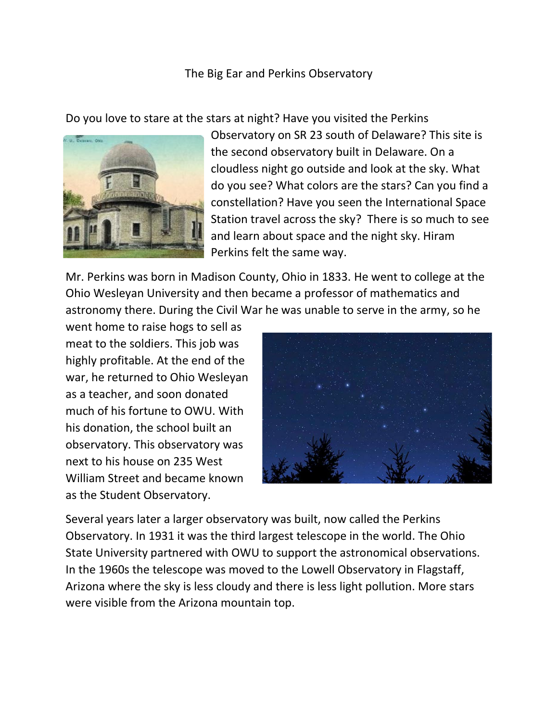## The Big Ear and Perkins Observatory

Do you love to stare at the stars at night? Have you visited the Perkins



Observatory on SR 23 south of Delaware? This site is the second observatory built in Delaware. On a cloudless night go outside and look at the sky. What do you see? What colors are the stars? Can you find a constellation? Have you seen the International Space Station travel across the sky? There is so much to see and learn about space and the night sky. Hiram Perkins felt the same way.

Mr. Perkins was born in Madison County, Ohio in 1833. He went to college at the Ohio Wesleyan University and then became a professor of mathematics and astronomy there. During the Civil War he was unable to serve in the army, so he

went home to raise hogs to sell as meat to the soldiers. This job was highly profitable. At the end of the war, he returned to Ohio Wesleyan as a teacher, and soon donated much of his fortune to OWU. With his donation, the school built an observatory. This observatory was next to his house on 235 West William Street and became known as the Student Observatory.



Several years later a larger observatory was built, now called the Perkins Observatory. In 1931 it was the third largest telescope in the world. The Ohio State University partnered with OWU to support the astronomical observations. In the 1960s the telescope was moved to the Lowell Observatory in Flagstaff, Arizona where the sky is less cloudy and there is less light pollution. More stars were visible from the Arizona mountain top.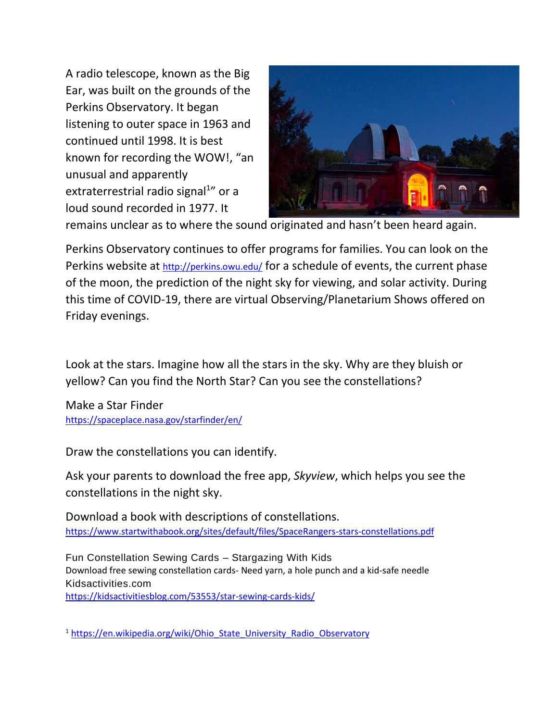A radio telescope, known as the Big Ear, was built on the grounds of the Perkins Observatory. It began listening to outer space in 1963 and continued until 1998. It is best known for recording the WOW!, "an unusual and apparently extraterrestrial radio signal<sup>1</sup>" or a loud sound recorded in 1977. It



remains unclear as to where the sound originated and hasn't been heard again.

Perkins Observatory continues to offer programs for families. You can look on the Perkins website at <http://perkins.owu.edu/> for a schedule of events, the current phase of the moon, the prediction of the night sky for viewing, and solar activity. During this time of COVID-19, there are virtual Observing/Planetarium Shows offered on Friday evenings.

Look at the stars. Imagine how all the stars in the sky. Why are they bluish or yellow? Can you find the North Star? Can you see the constellations?

Make a Star Finder <https://spaceplace.nasa.gov/starfinder/en/>

Draw the constellations you can identify.

Ask your parents to download the free app, *Skyview*, which helps you see the constellations in the night sky.

Download a book with descriptions of constellations. <https://www.startwithabook.org/sites/default/files/SpaceRangers-stars-constellations.pdf>

Fun Constellation Sewing Cards – Stargazing With Kids Download free sewing constellation cards- Need yarn, a hole punch and a kid-safe needle Kidsactivities.com <https://kidsactivitiesblog.com/53553/star-sewing-cards-kids/>

<sup>1</sup> [https://en.wikipedia.org/wiki/Ohio\\_State\\_University\\_Radio\\_Observatory](https://en.wikipedia.org/wiki/Ohio_State_University_Radio_Observatory)